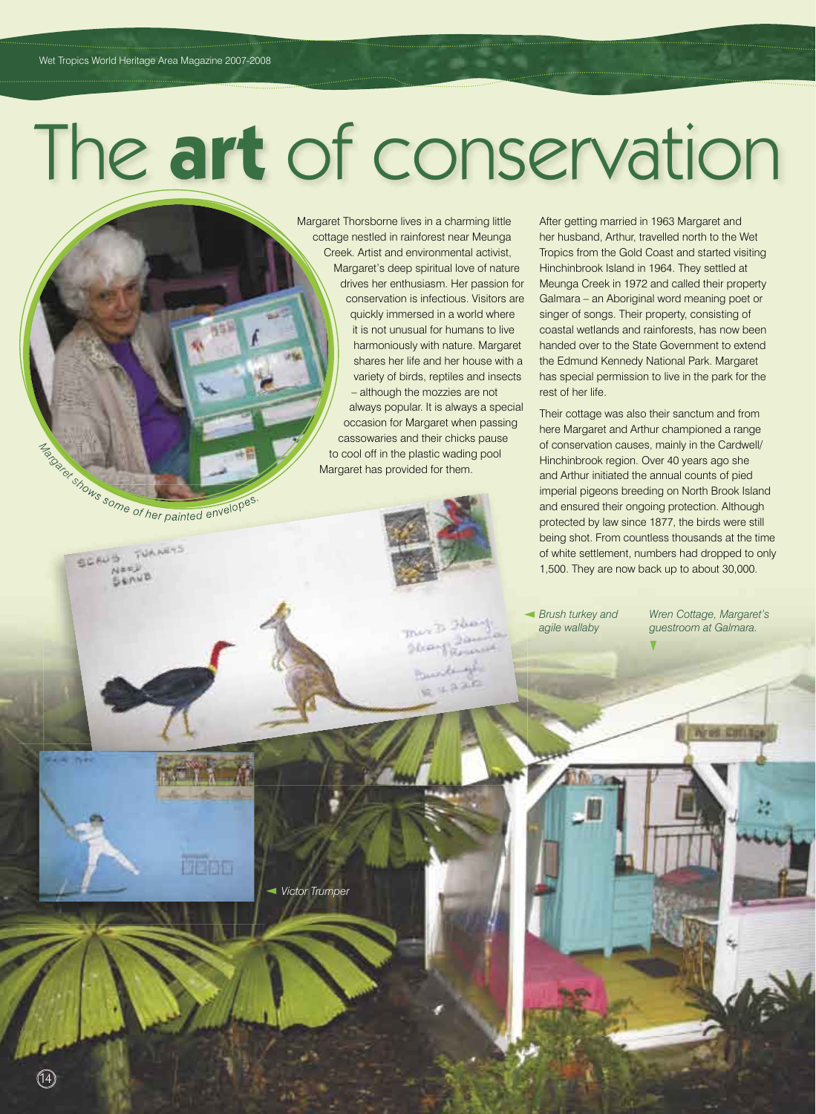# The **art** of conservation

Margaret Thorsborne lives in a charming little cottage nestled in rainforest near Meunga Creek. Artist and environmental activist, Margaret's deep spiritual love of nature drives her enthusiasm. Her passion for conservation is infectious. Visitors are quickly immersed in a world where it is not unusual for humans to live harmoniously with nature. Margaret shares her life and her house with a variety of birds, reptiles and insects – although the mozzies are not always popular. It is always a special occasion for Margaret when passing cassowaries and their chicks pause to cool off in the plastic wading pool Margaret has provided for them.

Target shows some of her painted envelopes

**MEDIT** 

TUANETS

SCAUS

 $(14)$ 

After getting married in 1963 Margaret and her husband, Arthur, travelled north to the Wet Tropics from the Gold Coast and started visiting Hinchinbrook Island in 1964. They settled at Meunga Creek in 1972 and called their property Galmara – an Aboriginal word meaning poet or singer of songs. Their property, consisting of coastal wetlands and rainforests, has now been handed over to the State Government to extend the Edmund Kennedy National Park. Margaret has special permission to live in the park for the rest of her life.

Their cottage was also their sanctum and from here Margaret and Arthur championed a range of conservation causes, mainly in the Cardwell/ Hinchinbrook region. Over 40 years ago she and Arthur initiated the annual counts of pied imperial pigeons breeding on North Brook Island and ensured their ongoing protection. Although protected by law since 1877, the birds were still being shot. From countless thousands at the time of white settlement, numbers had dropped to only 1,500. They are now back up to about 30,000.

*Brush turkey and agile wallaby*

*Wren Cottage, Margaret's guestroom at Galmara.*

**I Ared Kati I** 

*Victor Trumper*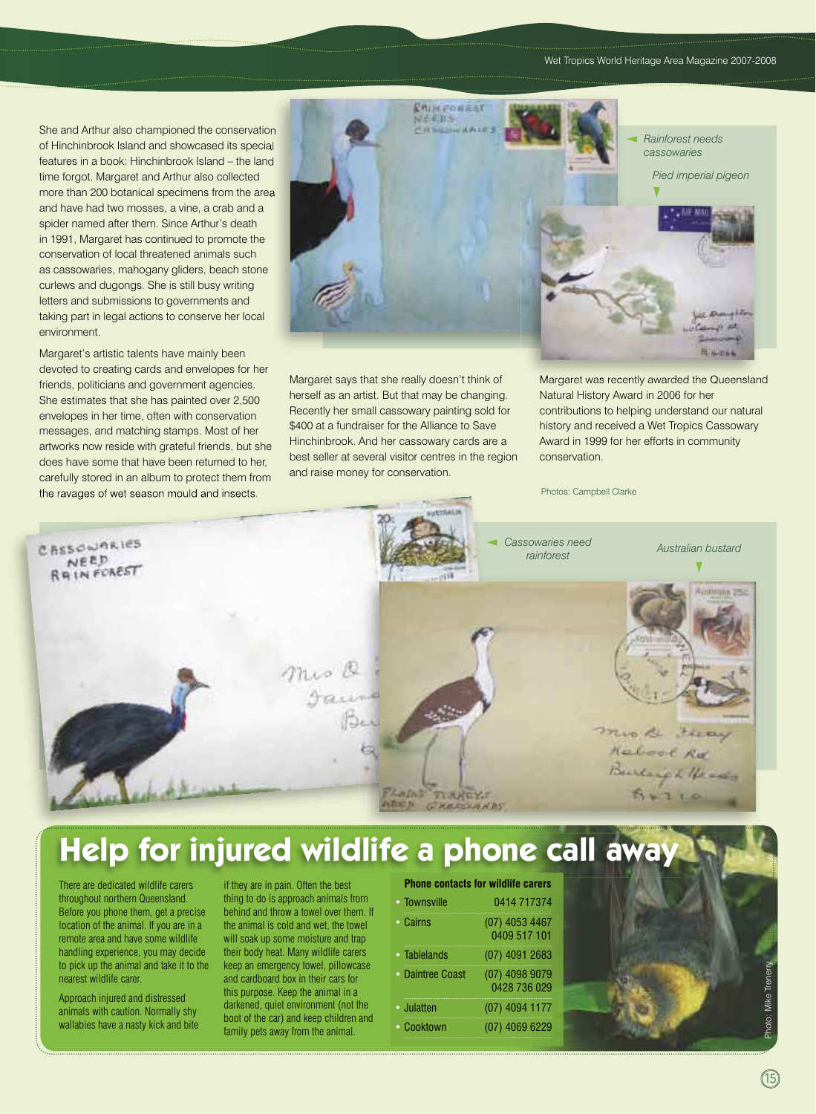She and Arthur also championed the conservation She and Arthur also championed the conservation of Hinchinbrook Island and showcased its special of Hinchinbrook Island and showcased its special features in a book: Hinchinbrook Island – the land features in a book: Hinchinbrook Island – the land time forgot. Margaret and Arthur also collected more than 200 botanical specimens from the area more than 200 botanical specimens from the area and have had two mosses, a vine, a crab and a spider named after them. Since Arthur's death in 1991, Margaret has continued to promote the conservation of local threatened animals such as cassowaries, mahogany gliders, beach stone curlews and dugongs. She is still busy writing letters and submissions to governments and taking part in legal actions to conserve her local environment.

Margaret's artistic talents have mainly been devoted to creating cards and envelopes for her friends, politicians and government agencies. She estimates that she has painted over 2,500 envelopes in her time, often with conservation messages, and matching stamps. Most of her artworks now reside with grateful friends, but she does have some that have been returned to her, carefully stored in an album to protect them from the ravages of wet season mould and insects.



Margaret says that she really doesn't think of herself as an artist. But that may be changing. Recently her small cassowary painting sold for \$400 at a fundraiser for the Alliance to Save Hinchinbrook. And her cassowary cards are a best seller at several visitor centres in the region and raise money for conservation.

Margaret was recently awarded the Queensland Natural History Award in 2006 for her contributions to helping understand our natural history and received a Wet Tropics Cassowary Award in 1999 for her efforts in community conservation.

Photos: Campbell Clarke



## **Help for injured wildlife a phone call awa**

 There are dedicated wildlife carers throughout northern Queensland. Before you phone them, get a precise location of the animal. If you are in a remote area and have some wildlife handling experience, you may decide to pick up the animal and take it to the nearest wildlife carer.

Approach injured and distressed animals with caution. Normally shy wallabies have a nasty kick and bite if they are in pain. Often the best thing to do is approach animals from behind and throw a towel over them. If the animal is cold and wet, the towel will soak up some moisture and trap their body heat. Many wildlife carers keep an emergency towel, pillowcase and cardboard box in their cars for this purpose. Keep the animal in a darkened, quiet environment (not the boot of the car) and keep children and family pets away from the animal.

### **Phone contacts for wildlife carers**

| • Townsville     | 0414 717374                      |
|------------------|----------------------------------|
| • Cairns         | (07) 4053 4467<br>0409 517 101   |
| • Tablelands     | $(07)$ 4091 2683                 |
| • Daintree Coast | $(07)$ 4098 9079<br>0428 736 029 |
| • Julatten       | $(07)$ 4094 1177                 |
| • Cooktown       | $(07)$ 4069 6229                 |

Photo: Mike Trenerry